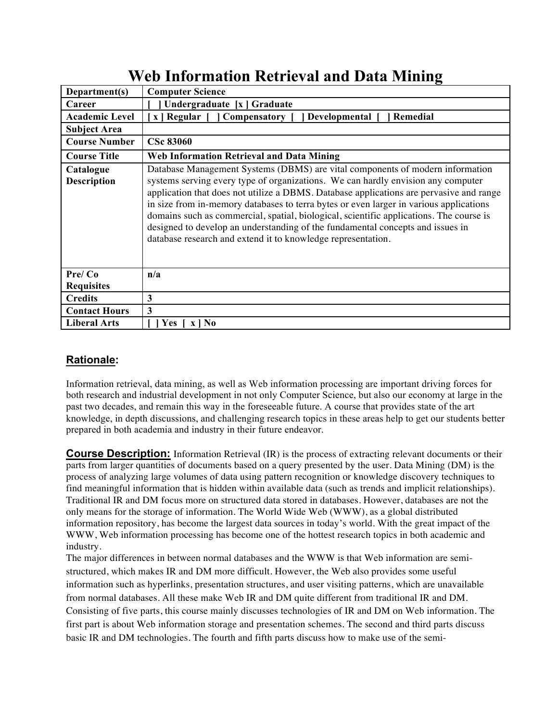|                                 | ᅔ                                                                                                                                                                                                                                                                                                                                                                                                                                                                                                                                                                                                   |
|---------------------------------|-----------------------------------------------------------------------------------------------------------------------------------------------------------------------------------------------------------------------------------------------------------------------------------------------------------------------------------------------------------------------------------------------------------------------------------------------------------------------------------------------------------------------------------------------------------------------------------------------------|
| Department(s)                   | <b>Computer Science</b>                                                                                                                                                                                                                                                                                                                                                                                                                                                                                                                                                                             |
| Career                          | Undergraduate [x ] Graduate                                                                                                                                                                                                                                                                                                                                                                                                                                                                                                                                                                         |
| <b>Academic Level</b>           | x   Regular   Compensatory  <br>Developmental [<br>  Remedial                                                                                                                                                                                                                                                                                                                                                                                                                                                                                                                                       |
| <b>Subject Area</b>             |                                                                                                                                                                                                                                                                                                                                                                                                                                                                                                                                                                                                     |
| <b>Course Number</b>            | <b>CSc 83060</b>                                                                                                                                                                                                                                                                                                                                                                                                                                                                                                                                                                                    |
| <b>Course Title</b>             | <b>Web Information Retrieval and Data Mining</b>                                                                                                                                                                                                                                                                                                                                                                                                                                                                                                                                                    |
| Catalogue<br><b>Description</b> | Database Management Systems (DBMS) are vital components of modern information<br>systems serving every type of organizations. We can hardly envision any computer<br>application that does not utilize a DBMS. Database applications are pervasive and range<br>in size from in-memory databases to terra bytes or even larger in various applications<br>domains such as commercial, spatial, biological, scientific applications. The course is<br>designed to develop an understanding of the fundamental concepts and issues in<br>database research and extend it to knowledge representation. |
| Pre/Co                          | n/a                                                                                                                                                                                                                                                                                                                                                                                                                                                                                                                                                                                                 |
| <b>Requisites</b>               |                                                                                                                                                                                                                                                                                                                                                                                                                                                                                                                                                                                                     |
| <b>Credits</b>                  | 3                                                                                                                                                                                                                                                                                                                                                                                                                                                                                                                                                                                                   |
| <b>Contact Hours</b>            | 3                                                                                                                                                                                                                                                                                                                                                                                                                                                                                                                                                                                                   |
| <b>Liberal Arts</b>             | <b>Yes</b><br>$\mathbf{X}$   No                                                                                                                                                                                                                                                                                                                                                                                                                                                                                                                                                                     |

# **Web Information Retrieval and Data Mining**

## **Rationale:**

Information retrieval, data mining, as well as Web information processing are important driving forces for both research and industrial development in not only Computer Science, but also our economy at large in the past two decades, and remain this way in the foreseeable future. A course that provides state of the art knowledge, in depth discussions, and challenging research topics in these areas help to get our students better prepared in both academia and industry in their future endeavor.

**Course Description:** Information Retrieval (IR) is the process of extracting relevant documents or their parts from larger quantities of documents based on a query presented by the user. Data Mining (DM) is the process of analyzing large volumes of data using pattern recognition or knowledge discovery techniques to find meaningful information that is hidden within available data (such as trends and implicit relationships). Traditional IR and DM focus more on structured data stored in databases. However, databases are not the only means for the storage of information. The World Wide Web (WWW), as a global distributed information repository, has become the largest data sources in today's world. With the great impact of the WWW, Web information processing has become one of the hottest research topics in both academic and industry.

The major differences in between normal databases and the WWW is that Web information are semistructured, which makes IR and DM more difficult. However, the Web also provides some useful information such as hyperlinks, presentation structures, and user visiting patterns, which are unavailable from normal databases. All these make Web IR and DM quite different from traditional IR and DM. Consisting of five parts, this course mainly discusses technologies of IR and DM on Web information. The first part is about Web information storage and presentation schemes. The second and third parts discuss basic IR and DM technologies. The fourth and fifth parts discuss how to make use of the semi